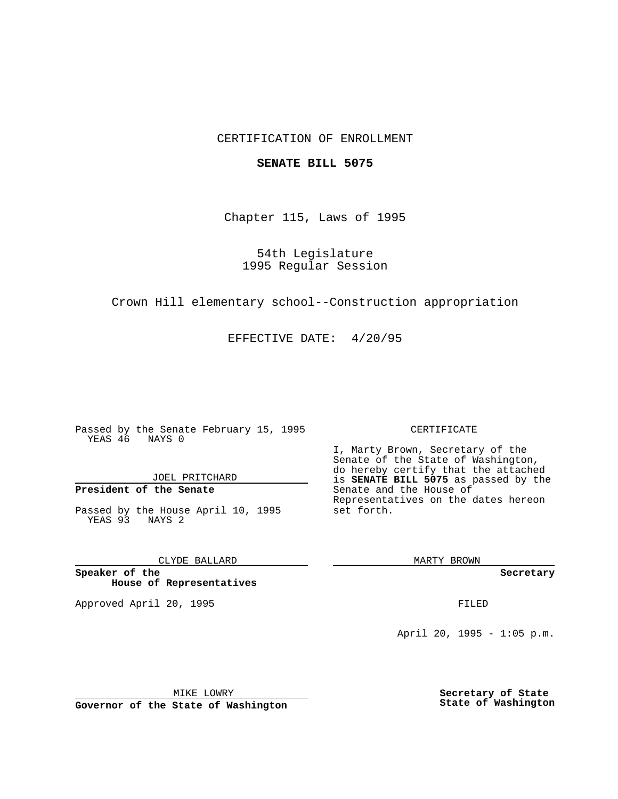### CERTIFICATION OF ENROLLMENT

#### **SENATE BILL 5075**

Chapter 115, Laws of 1995

54th Legislature 1995 Regular Session

Crown Hill elementary school--Construction appropriation

EFFECTIVE DATE: 4/20/95

Passed by the Senate February 15, 1995 YEAS 46 NAYS 0

JOEL PRITCHARD

# **President of the Senate**

Passed by the House April 10, 1995 YEAS 93 NAYS 2

CLYDE BALLARD

**Speaker of the House of Representatives**

Approved April 20, 1995 FILED

#### CERTIFICATE

I, Marty Brown, Secretary of the Senate of the State of Washington, do hereby certify that the attached is **SENATE BILL 5075** as passed by the Senate and the House of Representatives on the dates hereon set forth.

MARTY BROWN

**Secretary**

April 20, 1995 - 1:05 p.m.

MIKE LOWRY **Governor of the State of Washington** **Secretary of State State of Washington**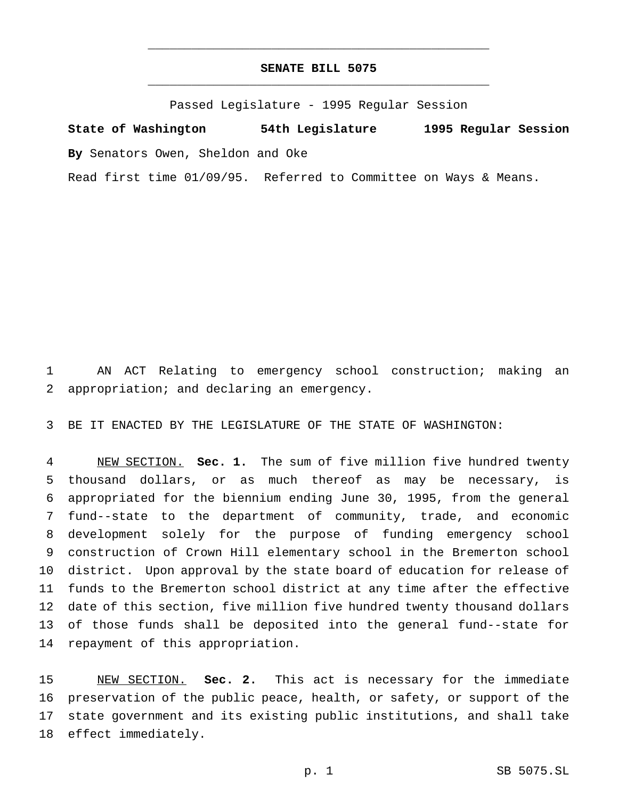## **SENATE BILL 5075** \_\_\_\_\_\_\_\_\_\_\_\_\_\_\_\_\_\_\_\_\_\_\_\_\_\_\_\_\_\_\_\_\_\_\_\_\_\_\_\_\_\_\_\_\_\_\_

\_\_\_\_\_\_\_\_\_\_\_\_\_\_\_\_\_\_\_\_\_\_\_\_\_\_\_\_\_\_\_\_\_\_\_\_\_\_\_\_\_\_\_\_\_\_\_

Passed Legislature - 1995 Regular Session

**State of Washington 54th Legislature 1995 Regular Session By** Senators Owen, Sheldon and Oke

Read first time 01/09/95. Referred to Committee on Ways & Means.

 AN ACT Relating to emergency school construction; making an appropriation; and declaring an emergency.

BE IT ENACTED BY THE LEGISLATURE OF THE STATE OF WASHINGTON:

 NEW SECTION. **Sec. 1.** The sum of five million five hundred twenty thousand dollars, or as much thereof as may be necessary, is appropriated for the biennium ending June 30, 1995, from the general fund--state to the department of community, trade, and economic development solely for the purpose of funding emergency school construction of Crown Hill elementary school in the Bremerton school district. Upon approval by the state board of education for release of funds to the Bremerton school district at any time after the effective date of this section, five million five hundred twenty thousand dollars of those funds shall be deposited into the general fund--state for repayment of this appropriation.

 NEW SECTION. **Sec. 2.** This act is necessary for the immediate preservation of the public peace, health, or safety, or support of the state government and its existing public institutions, and shall take effect immediately.